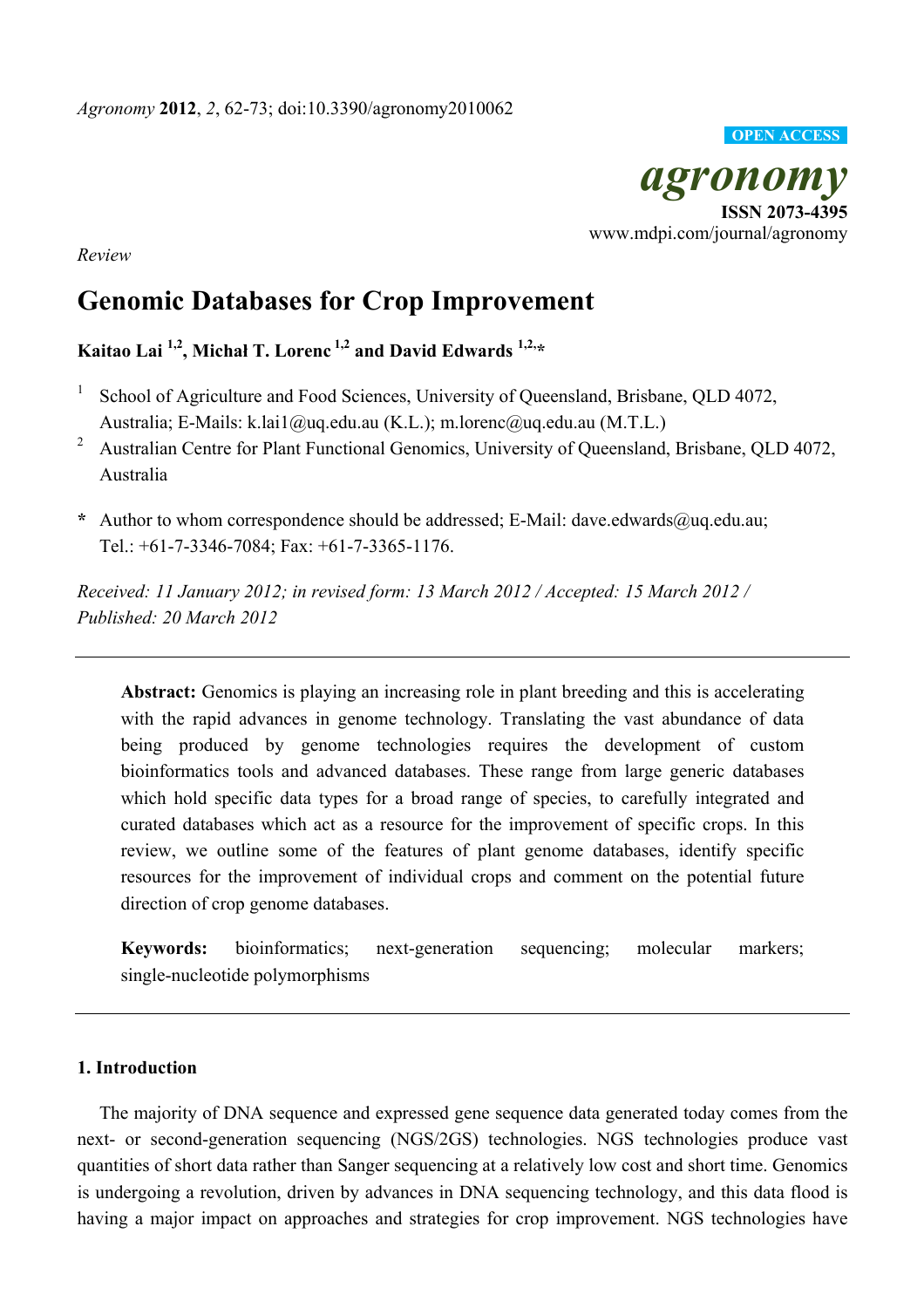

*Review* 

# **Genomic Databases for Crop Improvement**

**Kaitao Lai 1,2, Michał T. Lorenc 1,2 and David Edwards 1,2,\*** 

- 1 School of Agriculture and Food Sciences, University of Queensland, Brisbane, QLD 4072, Australia; E-Mails: k.lai1@uq.edu.au (K.L.); m.lorenc@uq.edu.au (M.T.L.)
- 2 Australian Centre for Plant Functional Genomics, University of Queensland, Brisbane, QLD 4072, Australia
- **\*** Author to whom correspondence should be addressed; E-Mail: dave.edwards@uq.edu.au; Tel.: +61-7-3346-7084; Fax: +61-7-3365-1176.

*Received: 11 January 2012; in revised form: 13 March 2012 / Accepted: 15 March 2012 / Published: 20 March 2012* 

Abstract: Genomics is playing an increasing role in plant breeding and this is accelerating with the rapid advances in genome technology. Translating the vast abundance of data being produced by genome technologies requires the development of custom bioinformatics tools and advanced databases. These range from large generic databases which hold specific data types for a broad range of species, to carefully integrated and curated databases which act as a resource for the improvement of specific crops. In this review, we outline some of the features of plant genome databases, identify specific resources for the improvement of individual crops and comment on the potential future direction of crop genome databases.

**Keywords:** bioinformatics; next-generation sequencing; molecular markers; single-nucleotide polymorphisms

## **1. Introduction**

The majority of DNA sequence and expressed gene sequence data generated today comes from the next- or second-generation sequencing (NGS/2GS) technologies. NGS technologies produce vast quantities of short data rather than Sanger sequencing at a relatively low cost and short time. Genomics is undergoing a revolution, driven by advances in DNA sequencing technology, and this data flood is having a major impact on approaches and strategies for crop improvement. NGS technologies have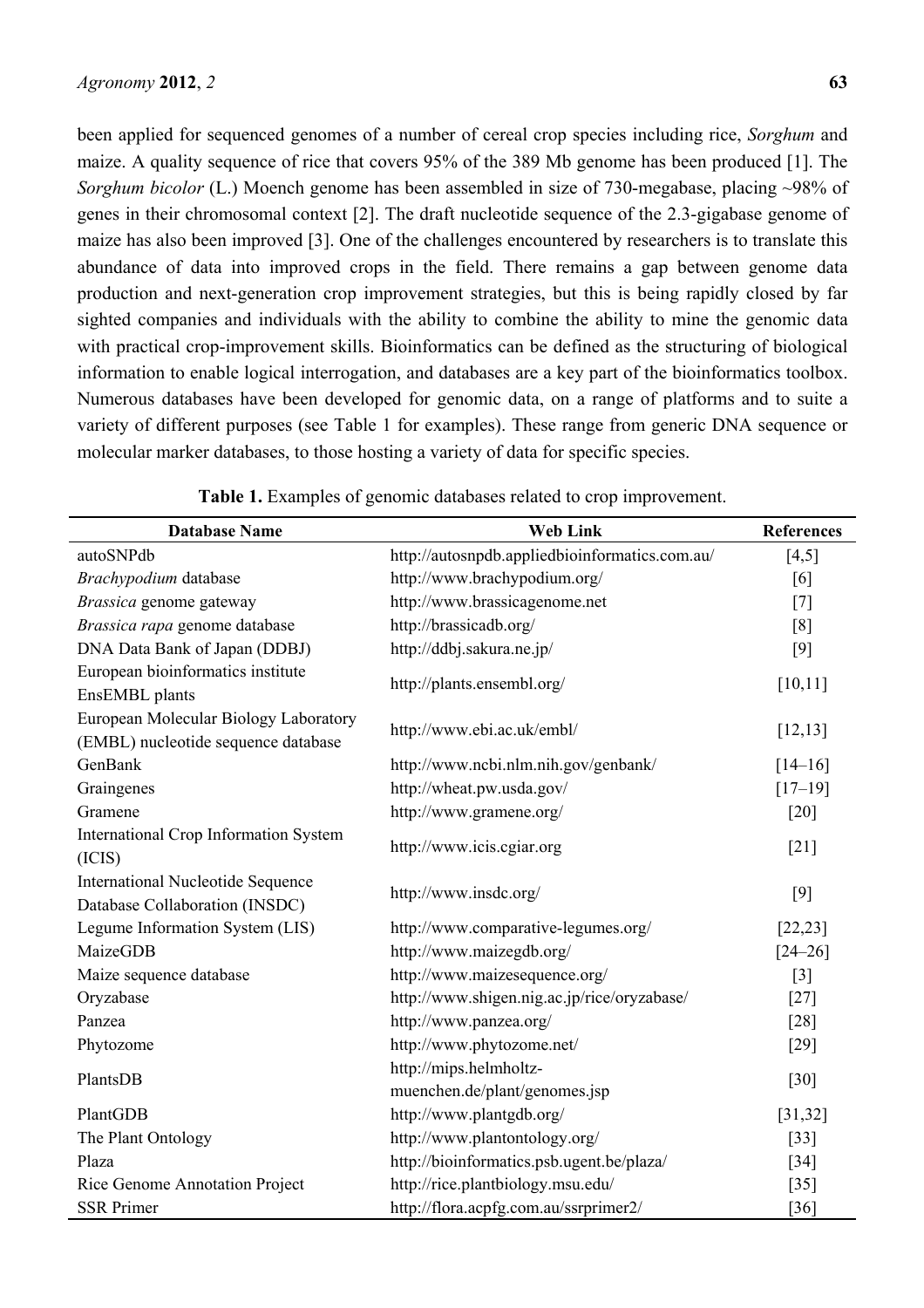been applied for sequenced genomes of a number of cereal crop species including rice, *Sorghum* and maize. A quality sequence of rice that covers 95% of the 389 Mb genome has been produced [1]. The *Sorghum bicolor* (L.) Moench genome has been assembled in size of 730-megabase, placing ~98% of genes in their chromosomal context [2]. The draft nucleotide sequence of the 2.3-gigabase genome of maize has also been improved [3]. One of the challenges encountered by researchers is to translate this abundance of data into improved crops in the field. There remains a gap between genome data production and next-generation crop improvement strategies, but this is being rapidly closed by far sighted companies and individuals with the ability to combine the ability to mine the genomic data with practical crop-improvement skills. Bioinformatics can be defined as the structuring of biological information to enable logical interrogation, and databases are a key part of the bioinformatics toolbox. Numerous databases have been developed for genomic data, on a range of platforms and to suite a variety of different purposes (see Table 1 for examples). These range from generic DNA sequence or molecular marker databases, to those hosting a variety of data for specific species.

| <b>Database Name</b>                     | <b>Web Link</b>                                | <b>References</b> |
|------------------------------------------|------------------------------------------------|-------------------|
| autoSNPdb                                | http://autosnpdb.appliedbioinformatics.com.au/ | [4,5]             |
| Brachypodium database                    | http://www.brachypodium.org/                   | [6]               |
| Brassica genome gateway                  | http://www.brassicagenome.net                  | [7]               |
| Brassica rapa genome database            | http://brassicadb.org/                         | [8]               |
| DNA Data Bank of Japan (DDBJ)            | http://ddbj.sakura.ne.jp/                      | [9]               |
| European bioinformatics institute        | http://plants.ensembl.org/                     |                   |
| EnsEMBL plants                           |                                                | [10, 11]          |
| European Molecular Biology Laboratory    | http://www.ebi.ac.uk/embl/                     | [12, 13]          |
| (EMBL) nucleotide sequence database      |                                                |                   |
| GenBank                                  | http://www.ncbi.nlm.nih.gov/genbank/           | $[14 - 16]$       |
| Graingenes                               | http://wheat.pw.usda.gov/                      | $[17-19]$         |
| Gramene                                  | http://www.gramene.org/                        | $[20]$            |
| International Crop Information System    | http://www.icis.cgiar.org                      |                   |
| (ICIS)                                   |                                                | $[21]$            |
| <b>International Nucleotide Sequence</b> | http://www.insdc.org/                          | [9]               |
| Database Collaboration (INSDC)           |                                                |                   |
| Legume Information System (LIS)          | http://www.comparative-legumes.org/            | [22, 23]          |
| MaizeGDB                                 | http://www.maizegdb.org/                       | $[24 - 26]$       |
| Maize sequence database                  | http://www.maizesequence.org/                  | $[3]$             |
| Oryzabase                                | http://www.shigen.nig.ac.jp/rice/oryzabase/    | $[27]$            |
| Panzea                                   | http://www.panzea.org/                         | $[28]$            |
| Phytozome                                | http://www.phytozome.net/                      | $[29]$            |
| PlantsDB                                 | http://mips.helmholtz-                         | $[30]$            |
|                                          | muenchen.de/plant/genomes.jsp                  |                   |
| PlantGDB                                 | http://www.plantgdb.org/                       | [31, 32]          |
| The Plant Ontology                       | http://www.plantontology.org/                  | $[33]$            |
| Plaza                                    | http://bioinformatics.psb.ugent.be/plaza/      | $[34]$            |
| Rice Genome Annotation Project           | http://rice.plantbiology.msu.edu/              | $[35]$            |
| <b>SSR</b> Primer                        | http://flora.acpfg.com.au/ssrprimer2/          | [36]              |

|  | <b>Table 1.</b> Examples of genomic databases related to crop improvement. |  |  |
|--|----------------------------------------------------------------------------|--|--|
|  |                                                                            |  |  |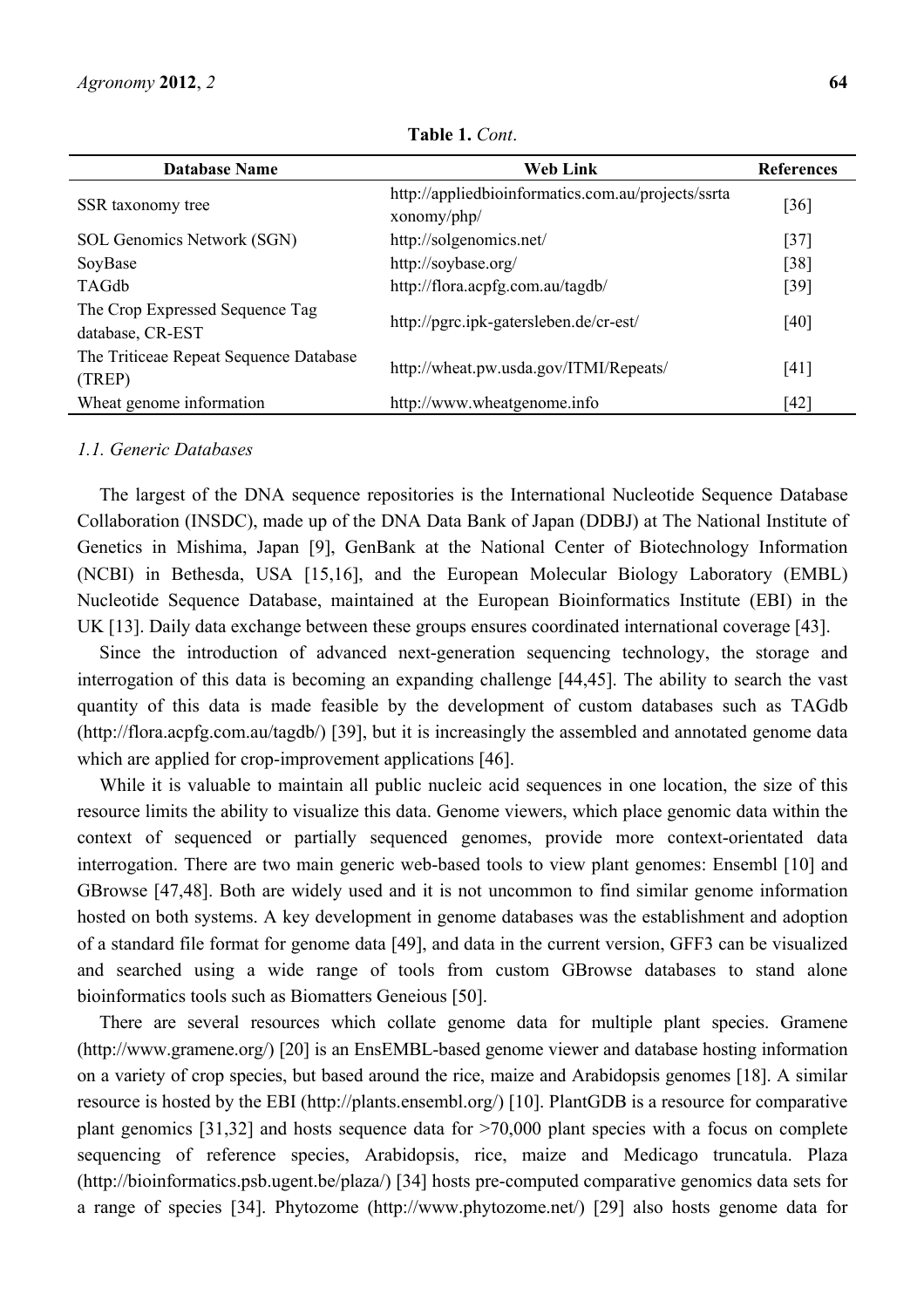| <b>Database Name</b>                                | <b>Web Link</b>                                                   | <b>References</b> |
|-----------------------------------------------------|-------------------------------------------------------------------|-------------------|
| SSR taxonomy tree                                   | http://appliedbioinformatics.com.au/projects/ssrta<br>xonomy/php/ | [36]              |
| SOL Genomics Network (SGN)                          | http://solgenomics.net/                                           | $[37]$            |
| SoyBase                                             | http://soybase.org/                                               | [38]              |
| TAGdb                                               | http://flora.acpfg.com.au/tagdb/                                  | [39]              |
| The Crop Expressed Sequence Tag<br>database, CR-EST | http://pgrc.ipk-gatersleben.de/cr-est/                            | [40]              |
| The Triticeae Repeat Sequence Database<br>(TREP)    | http://wheat.pw.usda.gov/ITMI/Repeats/                            | [41]              |
| Wheat genome information                            | http://www.wheatgenome.info                                       | [42]              |

**Table 1.** *Cont*.

#### *1.1. Generic Databases*

The largest of the DNA sequence repositories is the International Nucleotide Sequence Database Collaboration (INSDC), made up of the DNA Data Bank of Japan (DDBJ) at The National Institute of Genetics in Mishima, Japan [9], GenBank at the National Center of Biotechnology Information (NCBI) in Bethesda, USA [15,16], and the European Molecular Biology Laboratory (EMBL) Nucleotide Sequence Database, maintained at the European Bioinformatics Institute (EBI) in the UK [13]. Daily data exchange between these groups ensures coordinated international coverage [43].

Since the introduction of advanced next-generation sequencing technology, the storage and interrogation of this data is becoming an expanding challenge [44,45]. The ability to search the vast quantity of this data is made feasible by the development of custom databases such as TAGdb (http://flora.acpfg.com.au/tagdb/) [39], but it is increasingly the assembled and annotated genome data which are applied for crop-improvement applications [46].

While it is valuable to maintain all public nucleic acid sequences in one location, the size of this resource limits the ability to visualize this data. Genome viewers, which place genomic data within the context of sequenced or partially sequenced genomes, provide more context-orientated data interrogation. There are two main generic web-based tools to view plant genomes: Ensembl [10] and GBrowse [47,48]. Both are widely used and it is not uncommon to find similar genome information hosted on both systems. A key development in genome databases was the establishment and adoption of a standard file format for genome data [49], and data in the current version, GFF3 can be visualized and searched using a wide range of tools from custom GBrowse databases to stand alone bioinformatics tools such as Biomatters Geneious [50].

There are several resources which collate genome data for multiple plant species. Gramene (http://www.gramene.org/) [20] is an EnsEMBL-based genome viewer and database hosting information on a variety of crop species, but based around the rice, maize and Arabidopsis genomes [18]. A similar resource is hosted by the EBI (http://plants.ensembl.org/) [10]. PlantGDB is a resource for comparative plant genomics [31,32] and hosts sequence data for >70,000 plant species with a focus on complete sequencing of reference species, Arabidopsis, rice, maize and Medicago truncatula. Plaza (http://bioinformatics.psb.ugent.be/plaza/) [34] hosts pre-computed comparative genomics data sets for a range of species [34]. Phytozome (http://www.phytozome.net/) [29] also hosts genome data for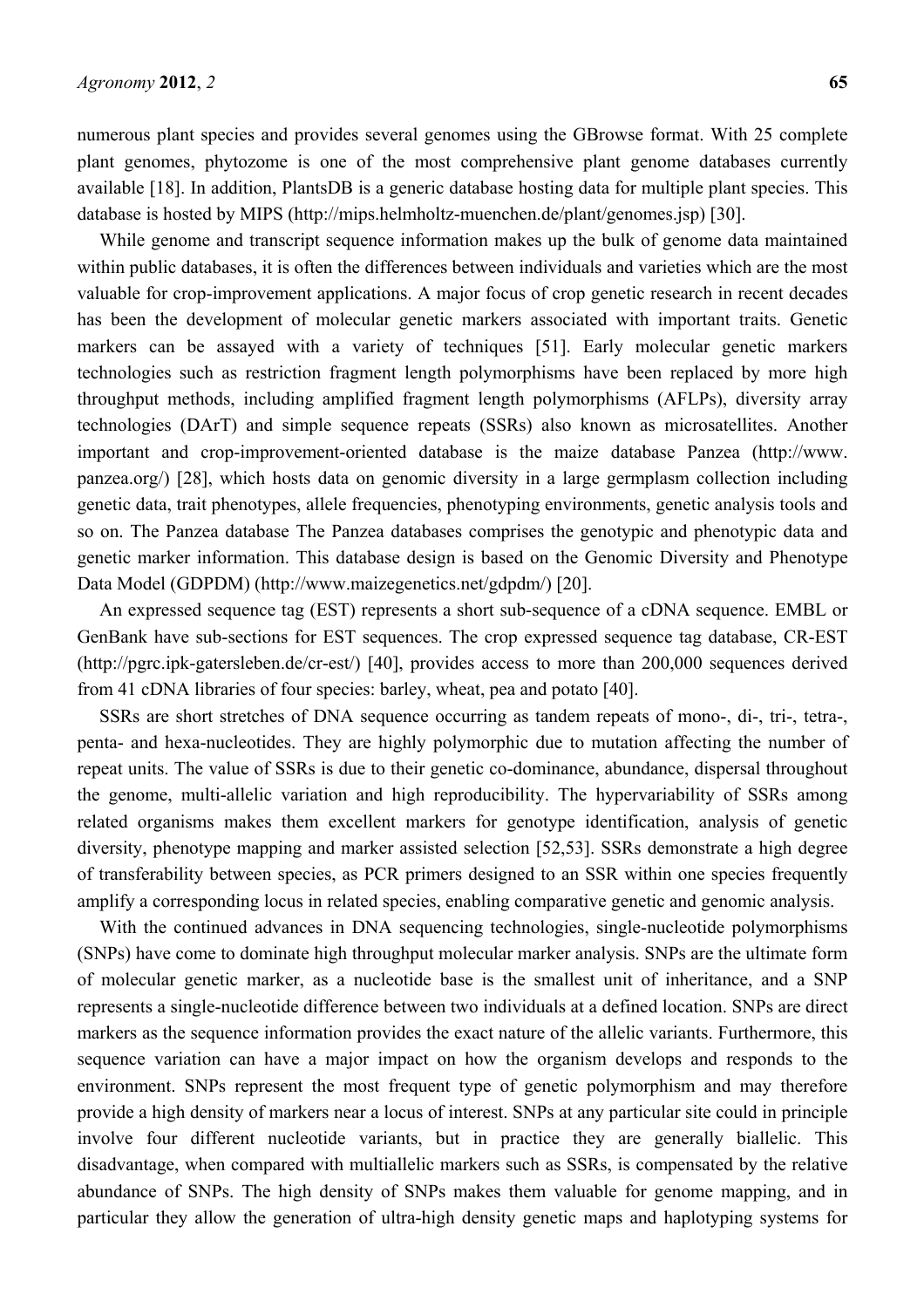numerous plant species and provides several genomes using the GBrowse format. With 25 complete plant genomes, phytozome is one of the most comprehensive plant genome databases currently available [18]. In addition, PlantsDB is a generic database hosting data for multiple plant species. This database is hosted by MIPS (http://mips.helmholtz-muenchen.de/plant/genomes.jsp) [30].

While genome and transcript sequence information makes up the bulk of genome data maintained within public databases, it is often the differences between individuals and varieties which are the most valuable for crop-improvement applications. A major focus of crop genetic research in recent decades has been the development of molecular genetic markers associated with important traits. Genetic markers can be assayed with a variety of techniques [51]. Early molecular genetic markers technologies such as restriction fragment length polymorphisms have been replaced by more high throughput methods, including amplified fragment length polymorphisms (AFLPs), diversity array technologies (DArT) and simple sequence repeats (SSRs) also known as microsatellites. Another important and crop-improvement-oriented database is the maize database Panzea (http://www. panzea.org/) [28], which hosts data on genomic diversity in a large germplasm collection including genetic data, trait phenotypes, allele frequencies, phenotyping environments, genetic analysis tools and so on. The Panzea database The Panzea databases comprises the genotypic and phenotypic data and genetic marker information. This database design is based on the Genomic Diversity and Phenotype Data Model (GDPDM) (http://www.maizegenetics.net/gdpdm/) [20].

An expressed sequence tag (EST) represents a short sub-sequence of a cDNA sequence. EMBL or GenBank have sub-sections for EST sequences. The crop expressed sequence tag database, CR-EST (http://pgrc.ipk-gatersleben.de/cr-est/) [40], provides access to more than 200,000 sequences derived from 41 cDNA libraries of four species: barley, wheat, pea and potato [40].

SSRs are short stretches of DNA sequence occurring as tandem repeats of mono-, di-, tri-, tetra-, penta- and hexa-nucleotides. They are highly polymorphic due to mutation affecting the number of repeat units. The value of SSRs is due to their genetic co-dominance, abundance, dispersal throughout the genome, multi-allelic variation and high reproducibility. The hypervariability of SSRs among related organisms makes them excellent markers for genotype identification, analysis of genetic diversity, phenotype mapping and marker assisted selection [52,53]. SSRs demonstrate a high degree of transferability between species, as PCR primers designed to an SSR within one species frequently amplify a corresponding locus in related species, enabling comparative genetic and genomic analysis.

With the continued advances in DNA sequencing technologies, single-nucleotide polymorphisms (SNPs) have come to dominate high throughput molecular marker analysis. SNPs are the ultimate form of molecular genetic marker, as a nucleotide base is the smallest unit of inheritance, and a SNP represents a single-nucleotide difference between two individuals at a defined location. SNPs are direct markers as the sequence information provides the exact nature of the allelic variants. Furthermore, this sequence variation can have a major impact on how the organism develops and responds to the environment. SNPs represent the most frequent type of genetic polymorphism and may therefore provide a high density of markers near a locus of interest. SNPs at any particular site could in principle involve four different nucleotide variants, but in practice they are generally biallelic. This disadvantage, when compared with multiallelic markers such as SSRs, is compensated by the relative abundance of SNPs. The high density of SNPs makes them valuable for genome mapping, and in particular they allow the generation of ultra-high density genetic maps and haplotyping systems for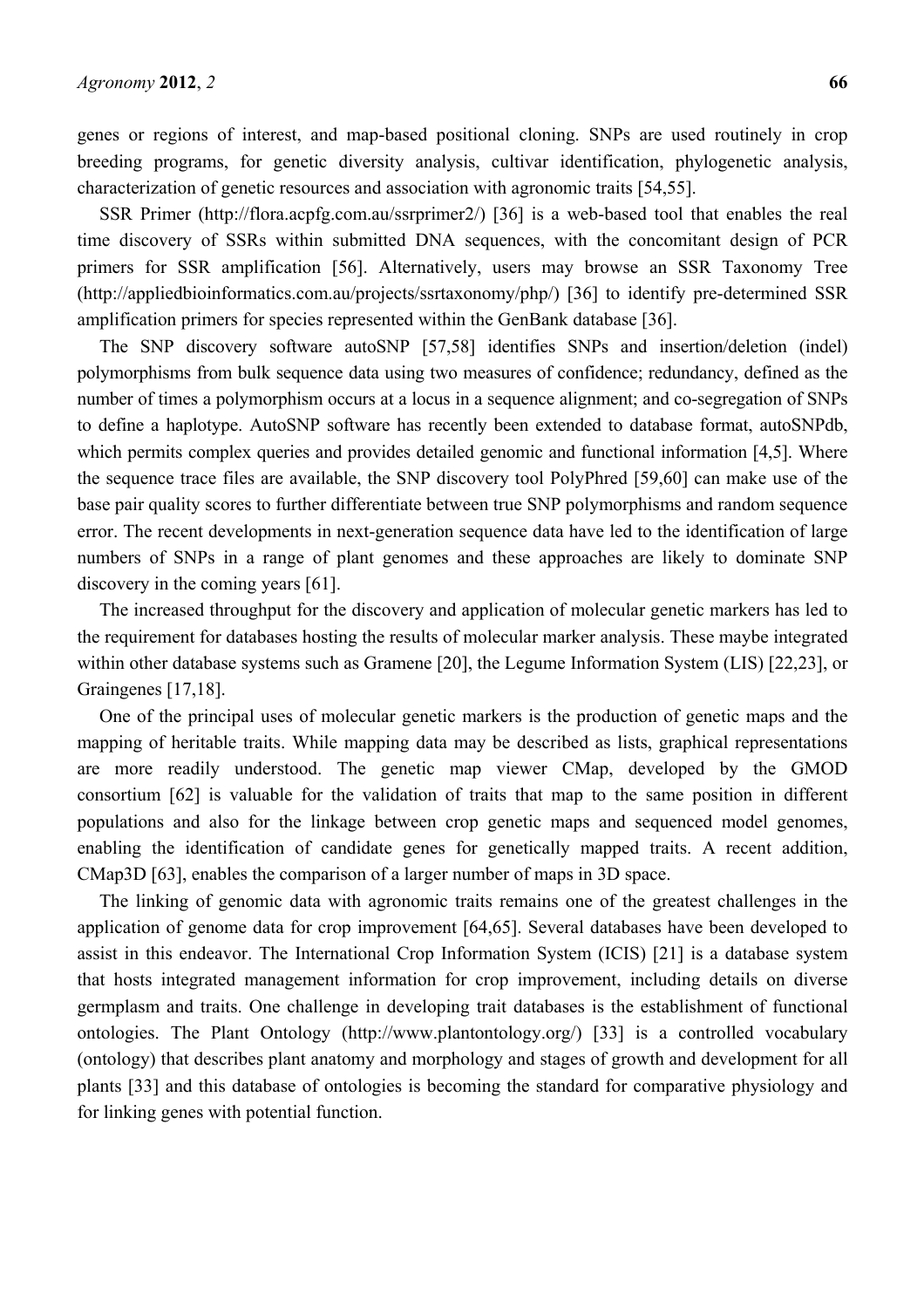genes or regions of interest, and map-based positional cloning. SNPs are used routinely in crop breeding programs, for genetic diversity analysis, cultivar identification, phylogenetic analysis, characterization of genetic resources and association with agronomic traits [54,55].

SSR Primer (http://flora.acpfg.com.au/ssrprimer2/) [36] is a web-based tool that enables the real time discovery of SSRs within submitted DNA sequences, with the concomitant design of PCR primers for SSR amplification [56]. Alternatively, users may browse an SSR Taxonomy Tree (http://appliedbioinformatics.com.au/projects/ssrtaxonomy/php/) [36] to identify pre-determined SSR amplification primers for species represented within the GenBank database [36].

The SNP discovery software autoSNP [57,58] identifies SNPs and insertion/deletion (indel) polymorphisms from bulk sequence data using two measures of confidence; redundancy, defined as the number of times a polymorphism occurs at a locus in a sequence alignment; and co-segregation of SNPs to define a haplotype. AutoSNP software has recently been extended to database format, autoSNPdb, which permits complex queries and provides detailed genomic and functional information [4,5]. Where the sequence trace files are available, the SNP discovery tool PolyPhred [59,60] can make use of the base pair quality scores to further differentiate between true SNP polymorphisms and random sequence error. The recent developments in next-generation sequence data have led to the identification of large numbers of SNPs in a range of plant genomes and these approaches are likely to dominate SNP discovery in the coming years [61].

The increased throughput for the discovery and application of molecular genetic markers has led to the requirement for databases hosting the results of molecular marker analysis. These maybe integrated within other database systems such as Gramene [20], the Legume Information System (LIS) [22,23], or Graingenes [17,18].

One of the principal uses of molecular genetic markers is the production of genetic maps and the mapping of heritable traits. While mapping data may be described as lists, graphical representations are more readily understood. The genetic map viewer CMap, developed by the GMOD consortium [62] is valuable for the validation of traits that map to the same position in different populations and also for the linkage between crop genetic maps and sequenced model genomes, enabling the identification of candidate genes for genetically mapped traits. A recent addition, CMap3D [63], enables the comparison of a larger number of maps in 3D space.

The linking of genomic data with agronomic traits remains one of the greatest challenges in the application of genome data for crop improvement [64,65]. Several databases have been developed to assist in this endeavor. The International Crop Information System (ICIS) [21] is a database system that hosts integrated management information for crop improvement, including details on diverse germplasm and traits. One challenge in developing trait databases is the establishment of functional ontologies. The Plant Ontology (http://www.plantontology.org/) [33] is a controlled vocabulary (ontology) that describes plant anatomy and morphology and stages of growth and development for all plants [33] and this database of ontologies is becoming the standard for comparative physiology and for linking genes with potential function.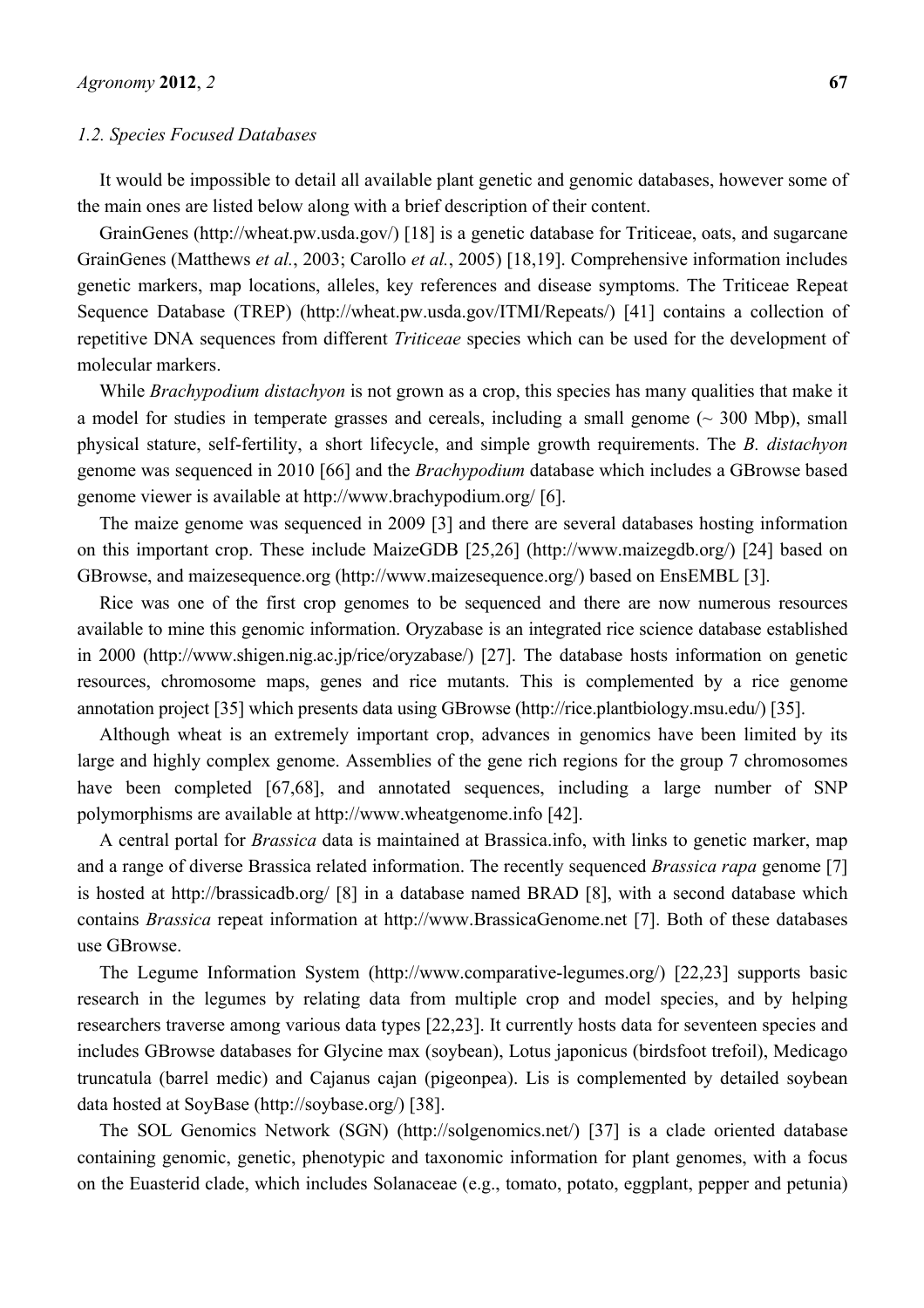#### *1.2. Species Focused Databases*

It would be impossible to detail all available plant genetic and genomic databases, however some of the main ones are listed below along with a brief description of their content.

GrainGenes (http://wheat.pw.usda.gov/) [18] is a genetic database for Triticeae, oats, and sugarcane GrainGenes (Matthews *et al.*, 2003; Carollo *et al.*, 2005) [18,19]. Comprehensive information includes genetic markers, map locations, alleles, key references and disease symptoms. The Triticeae Repeat Sequence Database (TREP) (http://wheat.pw.usda.gov/ITMI/Repeats/) [41] contains a collection of repetitive DNA sequences from different *Triticeae* species which can be used for the development of molecular markers.

While *Brachypodium distachyon* is not grown as a crop, this species has many qualities that make it a model for studies in temperate grasses and cereals, including a small genome  $(\sim 300 \text{ Mbp})$ , small physical stature, self-fertility, a short lifecycle, and simple growth requirements. The *B. distachyon* genome was sequenced in 2010 [66] and the *Brachypodium* database which includes a GBrowse based genome viewer is available at http://www.brachypodium.org/ [6].

The maize genome was sequenced in 2009 [3] and there are several databases hosting information on this important crop. These include MaizeGDB [25,26] (http://www.maizegdb.org/) [24] based on GBrowse, and maizesequence.org (http://www.maizesequence.org/) based on EnsEMBL [3].

Rice was one of the first crop genomes to be sequenced and there are now numerous resources available to mine this genomic information. Oryzabase is an integrated rice science database established in 2000 (http://www.shigen.nig.ac.jp/rice/oryzabase/) [27]. The database hosts information on genetic resources, chromosome maps, genes and rice mutants. This is complemented by a rice genome annotation project [35] which presents data using GBrowse (http://rice.plantbiology.msu.edu/) [35].

Although wheat is an extremely important crop, advances in genomics have been limited by its large and highly complex genome. Assemblies of the gene rich regions for the group 7 chromosomes have been completed [67,68], and annotated sequences, including a large number of SNP polymorphisms are available at http://www.wheatgenome.info [42].

A central portal for *Brassica* data is maintained at Brassica.info, with links to genetic marker, map and a range of diverse Brassica related information. The recently sequenced *Brassica rapa* genome [7] is hosted at http://brassicadb.org/ [8] in a database named BRAD [8], with a second database which contains *Brassica* repeat information at http://www.BrassicaGenome.net [7]. Both of these databases use GBrowse.

The Legume Information System (http://www.comparative-legumes.org/) [22,23] supports basic research in the legumes by relating data from multiple crop and model species, and by helping researchers traverse among various data types [22,23]. It currently hosts data for seventeen species and includes GBrowse databases for Glycine max (soybean), Lotus japonicus (birdsfoot trefoil), Medicago truncatula (barrel medic) and Cajanus cajan (pigeonpea). Lis is complemented by detailed soybean data hosted at SoyBase (http://soybase.org/) [38].

The SOL Genomics Network (SGN) (http://solgenomics.net/) [37] is a clade oriented database containing genomic, genetic, phenotypic and taxonomic information for plant genomes, with a focus on the Euasterid clade, which includes Solanaceae (e.g., tomato, potato, eggplant, pepper and petunia)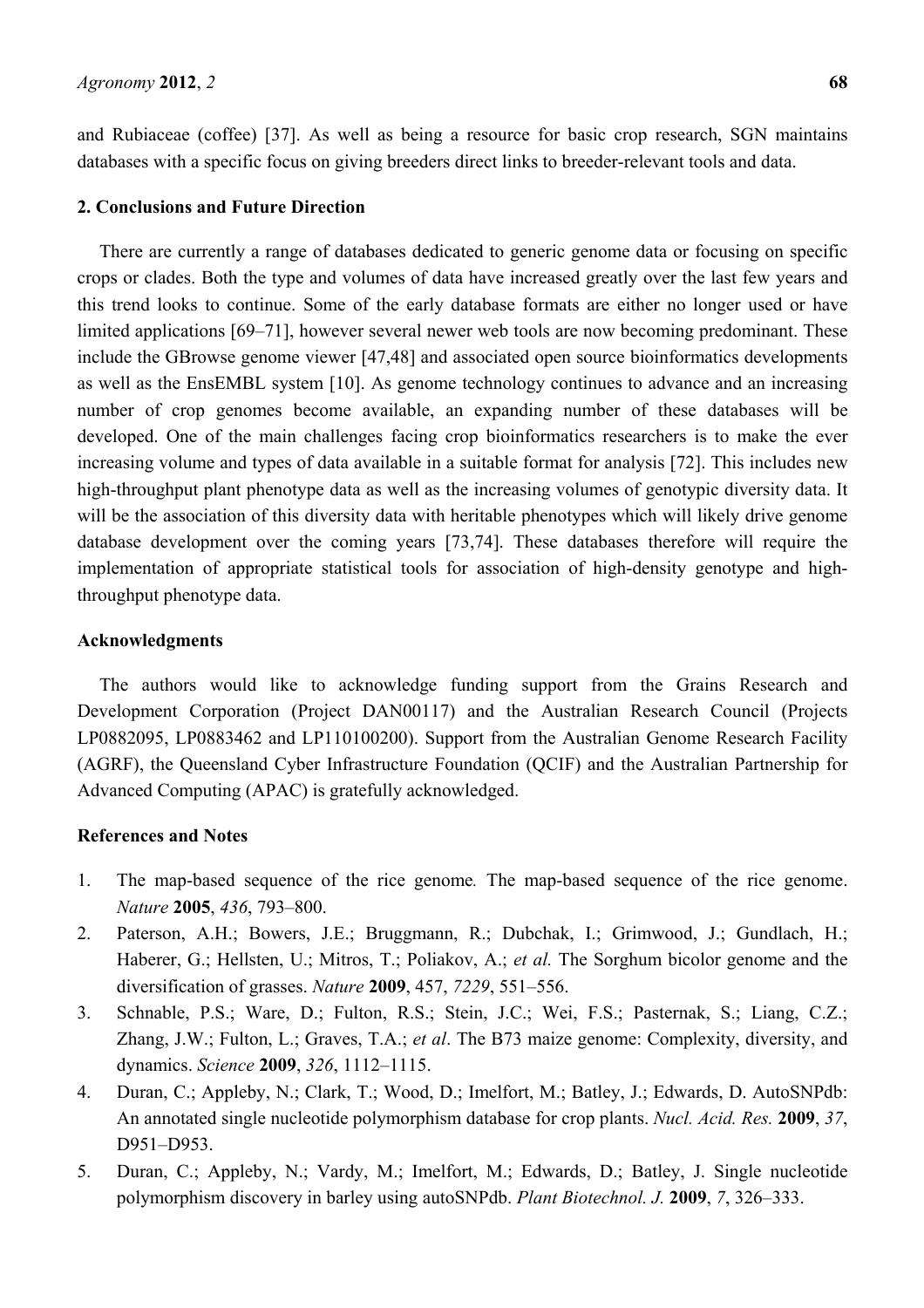and Rubiaceae (coffee) [37]. As well as being a resource for basic crop research, SGN maintains databases with a specific focus on giving breeders direct links to breeder-relevant tools and data.

### **2. Conclusions and Future Direction**

There are currently a range of databases dedicated to generic genome data or focusing on specific crops or clades. Both the type and volumes of data have increased greatly over the last few years and this trend looks to continue. Some of the early database formats are either no longer used or have limited applications [69–71], however several newer web tools are now becoming predominant. These include the GBrowse genome viewer [47,48] and associated open source bioinformatics developments as well as the EnsEMBL system [10]. As genome technology continues to advance and an increasing number of crop genomes become available, an expanding number of these databases will be developed. One of the main challenges facing crop bioinformatics researchers is to make the ever increasing volume and types of data available in a suitable format for analysis [72]. This includes new high-throughput plant phenotype data as well as the increasing volumes of genotypic diversity data. It will be the association of this diversity data with heritable phenotypes which will likely drive genome database development over the coming years [73,74]. These databases therefore will require the implementation of appropriate statistical tools for association of high-density genotype and highthroughput phenotype data.

#### **Acknowledgments**

The authors would like to acknowledge funding support from the Grains Research and Development Corporation (Project DAN00117) and the Australian Research Council (Projects LP0882095, LP0883462 and LP110100200). Support from the Australian Genome Research Facility (AGRF), the Queensland Cyber Infrastructure Foundation (QCIF) and the Australian Partnership for Advanced Computing (APAC) is gratefully acknowledged.

#### **References and Notes**

- 1. The map-based sequence of the rice genome*.* The map-based sequence of the rice genome. *Nature* **2005**, *436*, 793–800.
- 2. Paterson, A.H.; Bowers, J.E.; Bruggmann, R.; Dubchak, I.; Grimwood, J.; Gundlach, H.; Haberer, G.; Hellsten, U.; Mitros, T.; Poliakov, A.; *et al.* The Sorghum bicolor genome and the diversification of grasses. *Nature* **2009**, 457, *7229*, 551–556.
- 3. Schnable, P.S.; Ware, D.; Fulton, R.S.; Stein, J.C.; Wei, F.S.; Pasternak, S.; Liang, C.Z.; Zhang, J.W.; Fulton, L.; Graves, T.A.; *et al*. The B73 maize genome: Complexity, diversity, and dynamics. *Science* **2009**, *326*, 1112–1115.
- 4. Duran, C.; Appleby, N.; Clark, T.; Wood, D.; Imelfort, M.; Batley, J.; Edwards, D. AutoSNPdb: An annotated single nucleotide polymorphism database for crop plants. *Nucl. Acid. Res.* **2009**, *37*, D951–D953.
- 5. Duran, C.; Appleby, N.; Vardy, M.; Imelfort, M.; Edwards, D.; Batley, J. Single nucleotide polymorphism discovery in barley using autoSNPdb. *Plant Biotechnol. J.* **2009**, *7*, 326–333.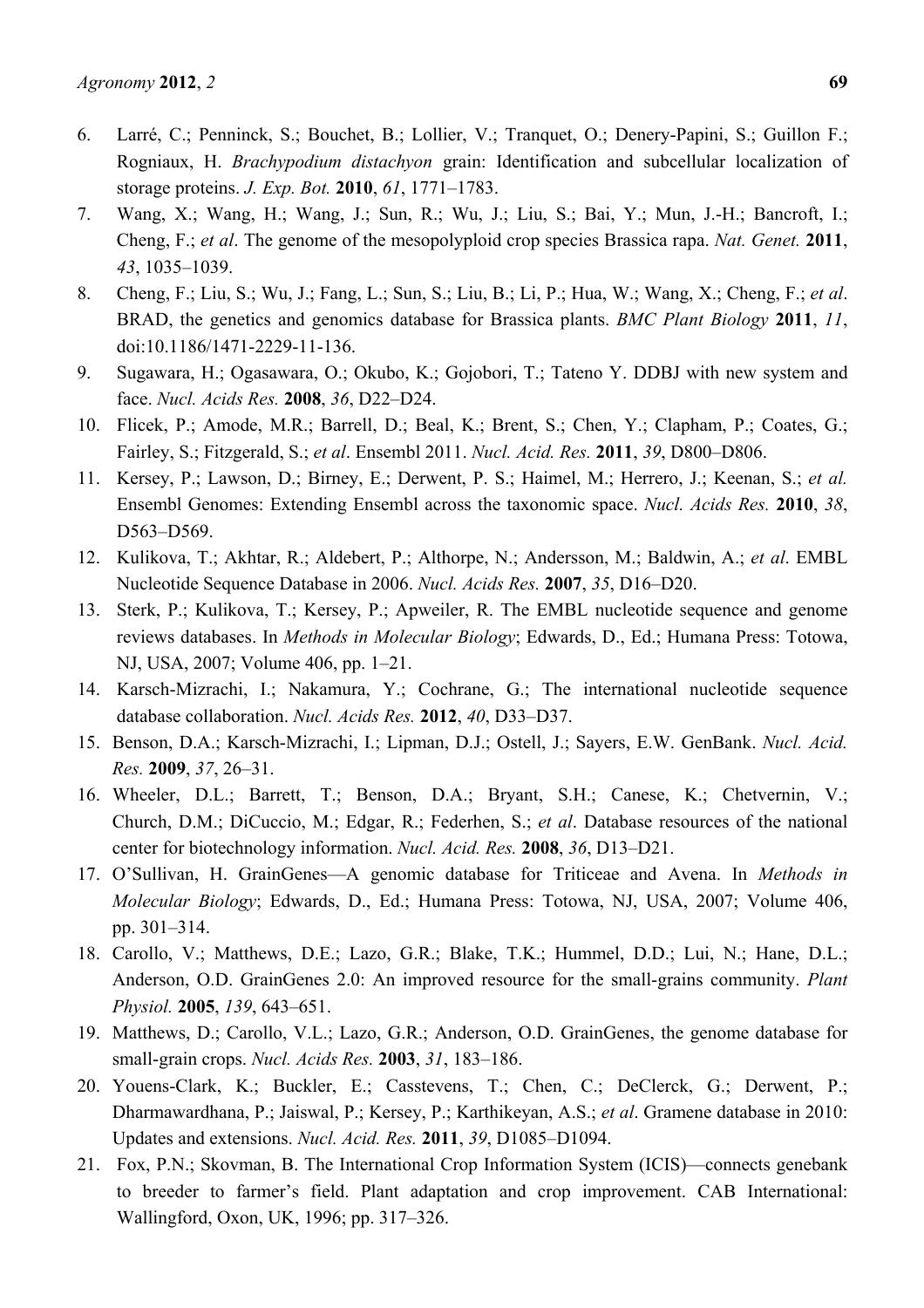- 6. Larré, C.; Penninck, S.; Bouchet, B.; Lollier, V.; Tranquet, O.; Denery-Papini, S.; Guillon F.; Rogniaux, H. *Brachypodium distachyon* grain: Identification and subcellular localization of storage proteins. *J. Exp. Bot.* **2010**, *61*, 1771–1783.
- 7. Wang, X.; Wang, H.; Wang, J.; Sun, R.; Wu, J.; Liu, S.; Bai, Y.; Mun, J.-H.; Bancroft, I.; Cheng, F.; *et al*. The genome of the mesopolyploid crop species Brassica rapa. *Nat. Genet.* **2011**, *43*, 1035–1039.
- 8. Cheng, F.; Liu, S.; Wu, J.; Fang, L.; Sun, S.; Liu, B.; Li, P.; Hua, W.; Wang, X.; Cheng, F.; *et al*. BRAD, the genetics and genomics database for Brassica plants. *BMC Plant Biology* **2011**, *11*, doi:10.1186/1471-2229-11-136.
- 9. Sugawara, H.; Ogasawara, O.; Okubo, K.; Gojobori, T.; Tateno Y. DDBJ with new system and face. *Nucl. Acids Res.* **2008**, *36*, D22–D24.
- 10. Flicek, P.; Amode, M.R.; Barrell, D.; Beal, K.; Brent, S.; Chen, Y.; Clapham, P.; Coates, G.; Fairley, S.; Fitzgerald, S.; *et al*. Ensembl 2011. *Nucl. Acid. Res.* **2011**, *39*, D800–D806.
- 11. Kersey, P.; Lawson, D.; Birney, E.; Derwent, P. S.; Haimel, M.; Herrero, J.; Keenan, S.; *et al.* Ensembl Genomes: Extending Ensembl across the taxonomic space. *Nucl. Acids Res.* **2010**, *38*, D563–D569.
- 12. Kulikova, T.; Akhtar, R.; Aldebert, P.; Althorpe, N.; Andersson, M.; Baldwin, A.; *et al*. EMBL Nucleotide Sequence Database in 2006. *Nucl. Acids Res.* **2007**, *35*, D16–D20.
- 13. Sterk, P.; Kulikova, T.; Kersey, P.; Apweiler, R. The EMBL nucleotide sequence and genome reviews databases. In *Methods in Molecular Biology*; Edwards, D., Ed.; Humana Press: Totowa, NJ, USA, 2007; Volume 406, pp. 1–21.
- 14. Karsch-Mizrachi, I.; Nakamura, Y.; Cochrane, G.; The international nucleotide sequence database collaboration. *Nucl. Acids Res.* **2012**, *40*, D33–D37.
- 15. Benson, D.A.; Karsch-Mizrachi, I.; Lipman, D.J.; Ostell, J.; Sayers, E.W. GenBank. *Nucl. Acid. Res.* **2009**, *37*, 26–31.
- 16. Wheeler, D.L.; Barrett, T.; Benson, D.A.; Bryant, S.H.; Canese, K.; Chetvernin, V.; Church, D.M.; DiCuccio, M.; Edgar, R.; Federhen, S.; *et al*. Database resources of the national center for biotechnology information. *Nucl. Acid. Res.* **2008**, *36*, D13–D21.
- 17. O'Sullivan, H. GrainGenes—A genomic database for Triticeae and Avena. In *Methods in Molecular Biology*; Edwards, D., Ed.; Humana Press: Totowa, NJ, USA, 2007; Volume 406, pp. 301–314.
- 18. Carollo, V.; Matthews, D.E.; Lazo, G.R.; Blake, T.K.; Hummel, D.D.; Lui, N.; Hane, D.L.; Anderson, O.D. GrainGenes 2.0: An improved resource for the small-grains community. *Plant Physiol.* **2005**, *139*, 643–651.
- 19. Matthews, D.; Carollo, V.L.; Lazo, G.R.; Anderson, O.D. GrainGenes, the genome database for small-grain crops. *Nucl. Acids Res.* **2003**, *31*, 183–186.
- 20. Youens-Clark, K.; Buckler, E.; Casstevens, T.; Chen, C.; DeClerck, G.; Derwent, P.; Dharmawardhana, P.; Jaiswal, P.; Kersey, P.; Karthikeyan, A.S.; *et al*. Gramene database in 2010: Updates and extensions. *Nucl. Acid. Res.* **2011**, *39*, D1085–D1094.
- 21. Fox, P.N.; Skovman, B. The International Crop Information System (ICIS)—connects genebank to breeder to farmer's field. Plant adaptation and crop improvement. CAB International: Wallingford, Oxon, UK, 1996; pp. 317–326.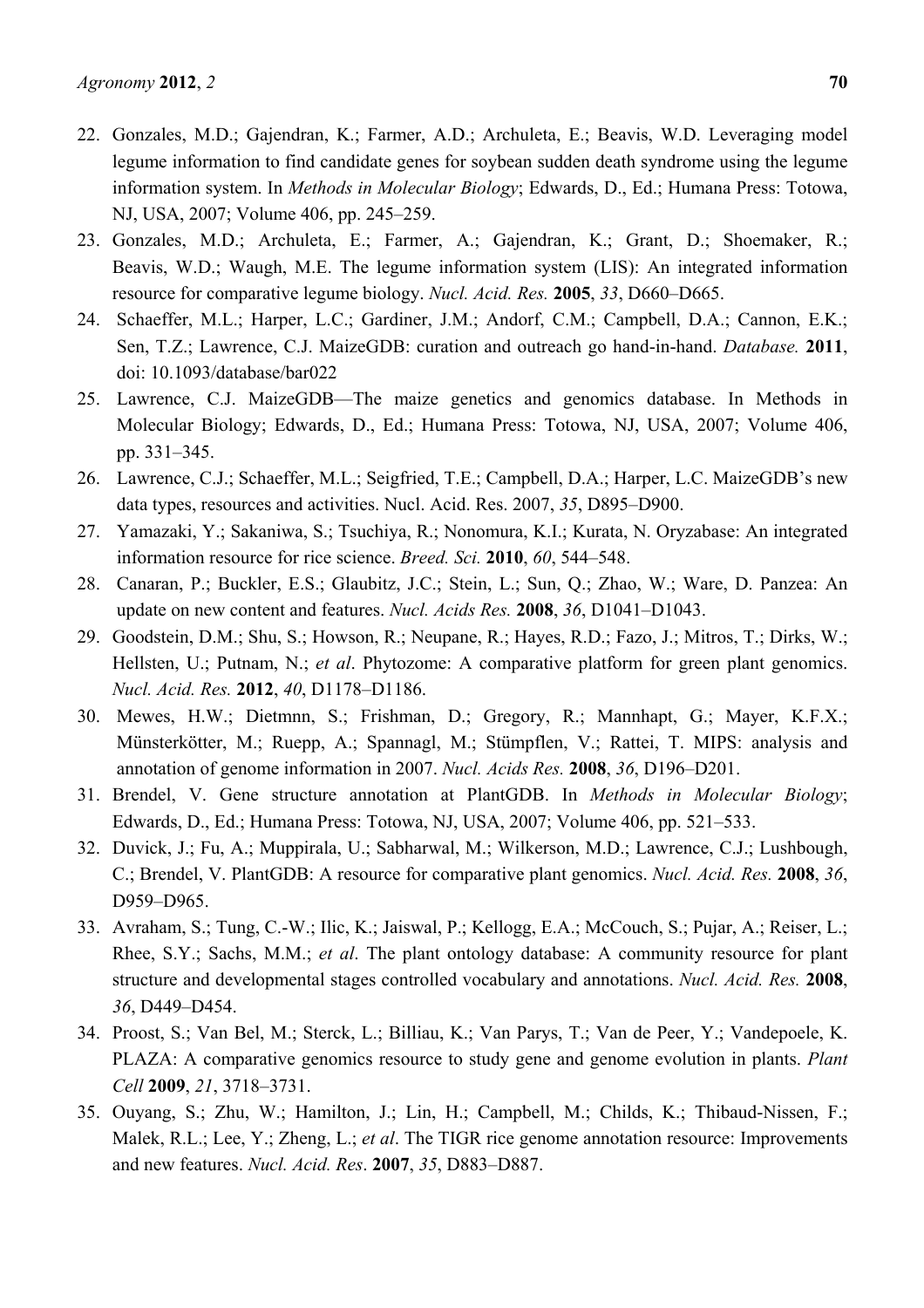- 22. Gonzales, M.D.; Gajendran, K.; Farmer, A.D.; Archuleta, E.; Beavis, W.D. Leveraging model legume information to find candidate genes for soybean sudden death syndrome using the legume information system. In *Methods in Molecular Biology*; Edwards, D., Ed.; Humana Press: Totowa, NJ, USA, 2007; Volume 406, pp. 245–259.
- 23. Gonzales, M.D.; Archuleta, E.; Farmer, A.; Gajendran, K.; Grant, D.; Shoemaker, R.; Beavis, W.D.; Waugh, M.E. The legume information system (LIS): An integrated information resource for comparative legume biology. *Nucl. Acid. Res.* **2005**, *33*, D660–D665.
- 24. Schaeffer, M.L.; Harper, L.C.; Gardiner, J.M.; Andorf, C.M.; Campbell, D.A.; Cannon, E.K.; Sen, T.Z.; Lawrence, C.J. MaizeGDB: curation and outreach go hand-in-hand. *Database.* **2011**, doi: 10.1093/database/bar022
- 25. Lawrence, C.J. MaizeGDB—The maize genetics and genomics database. In Methods in Molecular Biology; Edwards, D., Ed.; Humana Press: Totowa, NJ, USA, 2007; Volume 406, pp. 331–345.
- 26. Lawrence, C.J.; Schaeffer, M.L.; Seigfried, T.E.; Campbell, D.A.; Harper, L.C. MaizeGDB's new data types, resources and activities. Nucl. Acid. Res. 2007, *35*, D895–D900.
- 27. Yamazaki, Y.; Sakaniwa, S.; Tsuchiya, R.; Nonomura, K.I.; Kurata, N. Oryzabase: An integrated information resource for rice science. *Breed. Sci.* **2010**, *60*, 544–548.
- 28. Canaran, P.; Buckler, E.S.; Glaubitz, J.C.; Stein, L.; Sun, Q.; Zhao, W.; Ware, D. Panzea: An update on new content and features. *Nucl. Acids Res.* **2008**, *36*, D1041–D1043.
- 29. Goodstein, D.M.; Shu, S.; Howson, R.; Neupane, R.; Hayes, R.D.; Fazo, J.; Mitros, T.; Dirks, W.; Hellsten, U.; Putnam, N.; *et al.* Phytozome: A comparative platform for green plant genomics. *Nucl. Acid. Res.* **2012**, *40*, D1178–D1186.
- 30. Mewes, H.W.; Dietmnn, S.; Frishman, D.; Gregory, R.; Mannhapt, G.; Mayer, K.F.X.; Münsterkötter, M.; Ruepp, A.; Spannagl, M.; Stümpflen, V.; Rattei, T. MIPS: analysis and annotation of genome information in 2007. *Nucl. Acids Res.* **2008**, *36*, D196–D201.
- 31. Brendel, V. Gene structure annotation at PlantGDB. In *Methods in Molecular Biology*; Edwards, D., Ed.; Humana Press: Totowa, NJ, USA, 2007; Volume 406, pp. 521–533.
- 32. Duvick, J.; Fu, A.; Muppirala, U.; Sabharwal, M.; Wilkerson, M.D.; Lawrence, C.J.; Lushbough, C.; Brendel, V. PlantGDB: A resource for comparative plant genomics. *Nucl. Acid. Res.* **2008**, *36*, D959–D965.
- 33. Avraham, S.; Tung, C.-W.; Ilic, K.; Jaiswal, P.; Kellogg, E.A.; McCouch, S.; Pujar, A.; Reiser, L.; Rhee, S.Y.; Sachs, M.M.; *et al*. The plant ontology database: A community resource for plant structure and developmental stages controlled vocabulary and annotations. *Nucl. Acid. Res.* **2008**, *36*, D449–D454.
- 34. Proost, S.; Van Bel, M.; Sterck, L.; Billiau, K.; Van Parys, T.; Van de Peer, Y.; Vandepoele, K. PLAZA: A comparative genomics resource to study gene and genome evolution in plants. *Plant Cell* **2009**, *21*, 3718–3731.
- 35. Ouyang, S.; Zhu, W.; Hamilton, J.; Lin, H.; Campbell, M.; Childs, K.; Thibaud-Nissen, F.; Malek, R.L.; Lee, Y.; Zheng, L.; *et al*. The TIGR rice genome annotation resource: Improvements and new features. *Nucl. Acid. Res*. **2007**, *35*, D883–D887.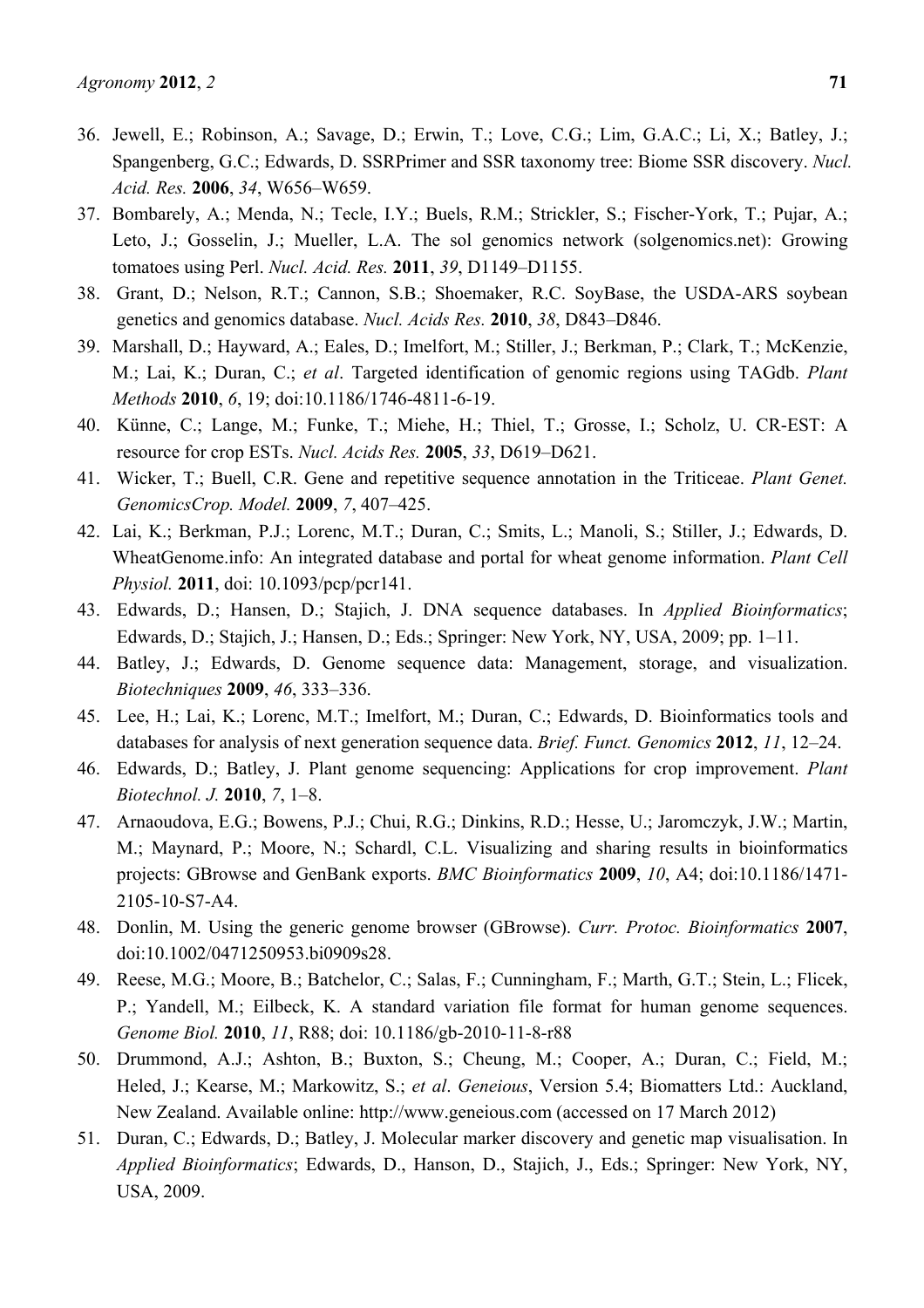- 36. Jewell, E.; Robinson, A.; Savage, D.; Erwin, T.; Love, C.G.; Lim, G.A.C.; Li, X.; Batley, J.; Spangenberg, G.C.; Edwards, D. SSRPrimer and SSR taxonomy tree: Biome SSR discovery. *Nucl. Acid. Res.* **2006**, *34*, W656–W659.
- 37. Bombarely, A.; Menda, N.; Tecle, I.Y.; Buels, R.M.; Strickler, S.; Fischer-York, T.; Pujar, A.; Leto, J.; Gosselin, J.; Mueller, L.A. The sol genomics network (solgenomics.net): Growing tomatoes using Perl. *Nucl. Acid. Res.* **2011**, *39*, D1149–D1155.
- 38. Grant, D.; Nelson, R.T.; Cannon, S.B.; Shoemaker, R.C. SoyBase, the USDA-ARS soybean genetics and genomics database. *Nucl. Acids Res.* **2010**, *38*, D843–D846.
- 39. Marshall, D.; Hayward, A.; Eales, D.; Imelfort, M.; Stiller, J.; Berkman, P.; Clark, T.; McKenzie, M.; Lai, K.; Duran, C.; *et al*. Targeted identification of genomic regions using TAGdb. *Plant Methods* **2010**, *6*, 19; doi:10.1186/1746-4811-6-19.
- 40. Künne, C.; Lange, M.; Funke, T.; Miehe, H.; Thiel, T.; Grosse, I.; Scholz, U. CR-EST: A resource for crop ESTs. *Nucl. Acids Res.* **2005**, *33*, D619–D621.
- 41. Wicker, T.; Buell, C.R. Gene and repetitive sequence annotation in the Triticeae. *Plant Genet. GenomicsCrop. Model.* **2009**, *7*, 407–425.
- 42. Lai, K.; Berkman, P.J.; Lorenc, M.T.; Duran, C.; Smits, L.; Manoli, S.; Stiller, J.; Edwards, D. WheatGenome.info: An integrated database and portal for wheat genome information. *Plant Cell Physiol.* **2011**, doi: 10.1093/pcp/pcr141.
- 43. Edwards, D.; Hansen, D.; Stajich, J. DNA sequence databases. In *Applied Bioinformatics*; Edwards, D.; Stajich, J.; Hansen, D.; Eds.; Springer: New York, NY, USA, 2009; pp. 1–11.
- 44. Batley, J.; Edwards, D. Genome sequence data: Management, storage, and visualization. *Biotechniques* **2009**, *46*, 333–336.
- 45. Lee, H.; Lai, K.; Lorenc, M.T.; Imelfort, M.; Duran, C.; Edwards, D. Bioinformatics tools and databases for analysis of next generation sequence data. *Brief. Funct. Genomics* **2012**, *11*, 12–24.
- 46. Edwards, D.; Batley, J. Plant genome sequencing: Applications for crop improvement. *Plant Biotechnol. J.* **2010**, *7*, 1–8.
- 47. Arnaoudova, E.G.; Bowens, P.J.; Chui, R.G.; Dinkins, R.D.; Hesse, U.; Jaromczyk, J.W.; Martin, M.; Maynard, P.; Moore, N.; Schardl, C.L. Visualizing and sharing results in bioinformatics projects: GBrowse and GenBank exports. *BMC Bioinformatics* **2009**, *10*, A4; doi:10.1186/1471- 2105-10-S7-A4.
- 48. Donlin, M. Using the generic genome browser (GBrowse). *Curr. Protoc. Bioinformatics* **2007**, doi:10.1002/0471250953.bi0909s28.
- 49. Reese, M.G.; Moore, B.; Batchelor, C.; Salas, F.; Cunningham, F.; Marth, G.T.; Stein, L.; Flicek, P.; Yandell, M.; Eilbeck, K. A standard variation file format for human genome sequences. *Genome Biol.* **2010**, *11*, R88; doi: 10.1186/gb-2010-11-8-r88
- 50. Drummond, A.J.; Ashton, B.; Buxton, S.; Cheung, M.; Cooper, A.; Duran, C.; Field, M.; Heled, J.; Kearse, M.; Markowitz, S.; *et al*. *Geneious*, Version 5.4; Biomatters Ltd.: Auckland, New Zealand. Available online: http://www.geneious.com (accessed on 17 March 2012)
- 51. Duran, C.; Edwards, D.; Batley, J. Molecular marker discovery and genetic map visualisation. In *Applied Bioinformatics*; Edwards, D., Hanson, D., Stajich, J., Eds.; Springer: New York, NY, USA, 2009.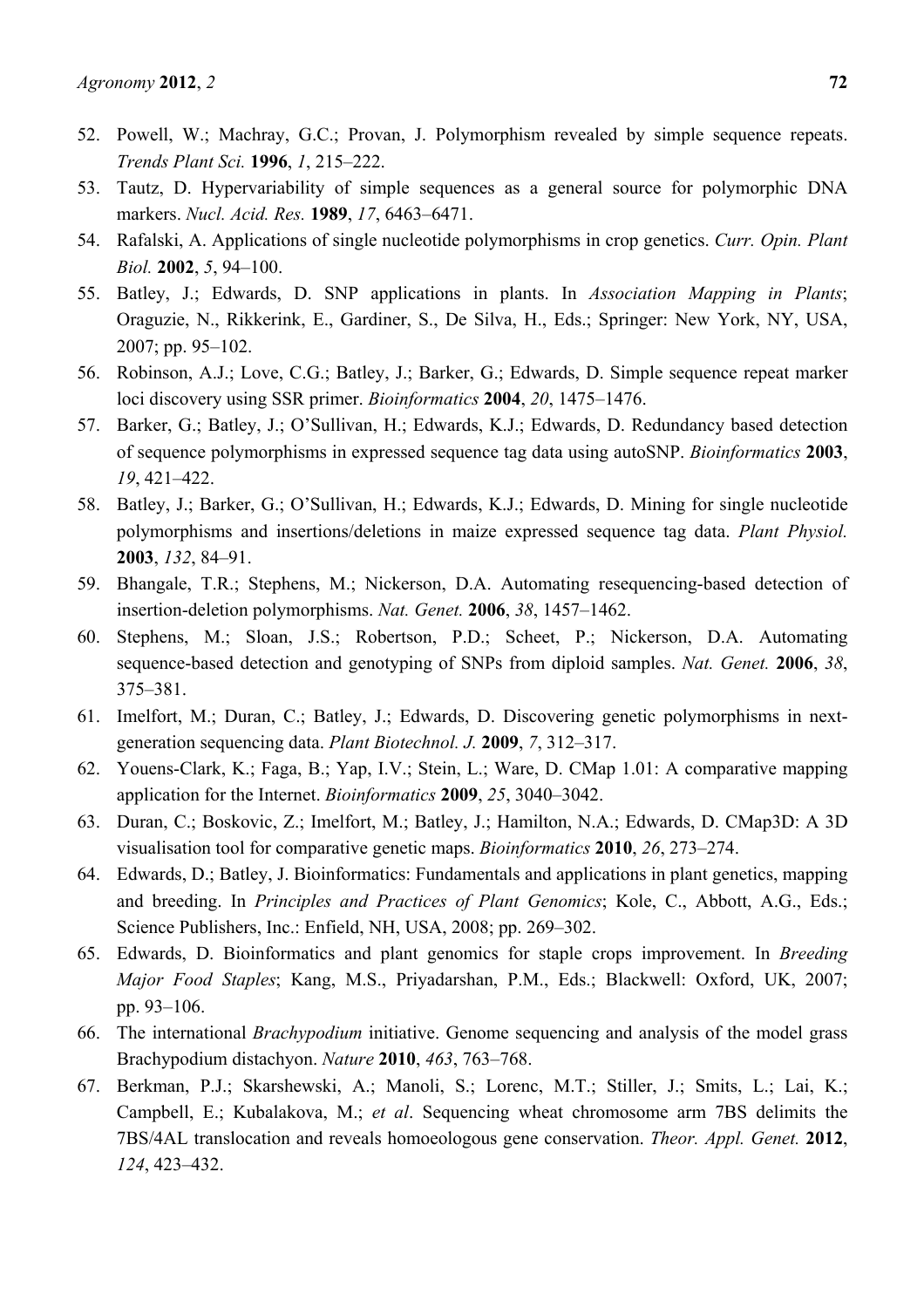- 52. Powell, W.; Machray, G.C.; Provan, J. Polymorphism revealed by simple sequence repeats. *Trends Plant Sci.* **1996**, *1*, 215–222.
- 53. Tautz, D. Hypervariability of simple sequences as a general source for polymorphic DNA markers. *Nucl. Acid. Res.* **1989**, *17*, 6463–6471.
- 54. Rafalski, A. Applications of single nucleotide polymorphisms in crop genetics. *Curr. Opin. Plant Biol.* **2002**, *5*, 94–100.
- 55. Batley, J.; Edwards, D. SNP applications in plants. In *Association Mapping in Plants*; Oraguzie, N., Rikkerink, E., Gardiner, S., De Silva, H., Eds.; Springer: New York, NY, USA, 2007; pp. 95–102.
- 56. Robinson, A.J.; Love, C.G.; Batley, J.; Barker, G.; Edwards, D. Simple sequence repeat marker loci discovery using SSR primer. *Bioinformatics* **2004**, *20*, 1475–1476.
- 57. Barker, G.; Batley, J.; O'Sullivan, H.; Edwards, K.J.; Edwards, D. Redundancy based detection of sequence polymorphisms in expressed sequence tag data using autoSNP. *Bioinformatics* **2003**, *19*, 421–422.
- 58. Batley, J.; Barker, G.; O'Sullivan, H.; Edwards, K.J.; Edwards, D. Mining for single nucleotide polymorphisms and insertions/deletions in maize expressed sequence tag data. *Plant Physiol.* **2003**, *132*, 84–91.
- 59. Bhangale, T.R.; Stephens, M.; Nickerson, D.A. Automating resequencing-based detection of insertion-deletion polymorphisms. *Nat. Genet.* **2006**, *38*, 1457–1462.
- 60. Stephens, M.; Sloan, J.S.; Robertson, P.D.; Scheet, P.; Nickerson, D.A. Automating sequence-based detection and genotyping of SNPs from diploid samples. *Nat. Genet.* **2006**, *38*, 375–381.
- 61. Imelfort, M.; Duran, C.; Batley, J.; Edwards, D. Discovering genetic polymorphisms in nextgeneration sequencing data. *Plant Biotechnol. J.* **2009**, *7*, 312–317.
- 62. Youens-Clark, K.; Faga, B.; Yap, I.V.; Stein, L.; Ware, D. CMap 1.01: A comparative mapping application for the Internet. *Bioinformatics* **2009**, *25*, 3040–3042.
- 63. Duran, C.; Boskovic, Z.; Imelfort, M.; Batley, J.; Hamilton, N.A.; Edwards, D. CMap3D: A 3D visualisation tool for comparative genetic maps. *Bioinformatics* **2010**, *26*, 273–274.
- 64. Edwards, D.; Batley, J. Bioinformatics: Fundamentals and applications in plant genetics, mapping and breeding. In *Principles and Practices of Plant Genomics*; Kole, C., Abbott, A.G., Eds.; Science Publishers, Inc.: Enfield, NH, USA, 2008; pp. 269–302.
- 65. Edwards, D. Bioinformatics and plant genomics for staple crops improvement. In *Breeding Major Food Staples*; Kang, M.S., Priyadarshan, P.M., Eds.; Blackwell: Oxford, UK, 2007; pp. 93–106.
- 66. The international *Brachypodium* initiative. Genome sequencing and analysis of the model grass Brachypodium distachyon. *Nature* **2010**, *463*, 763–768.
- 67. Berkman, P.J.; Skarshewski, A.; Manoli, S.; Lorenc, M.T.; Stiller, J.; Smits, L.; Lai, K.; Campbell, E.; Kubalakova, M.; *et al*. Sequencing wheat chromosome arm 7BS delimits the 7BS/4AL translocation and reveals homoeologous gene conservation. *Theor. Appl. Genet.* **2012**, *124*, 423–432.